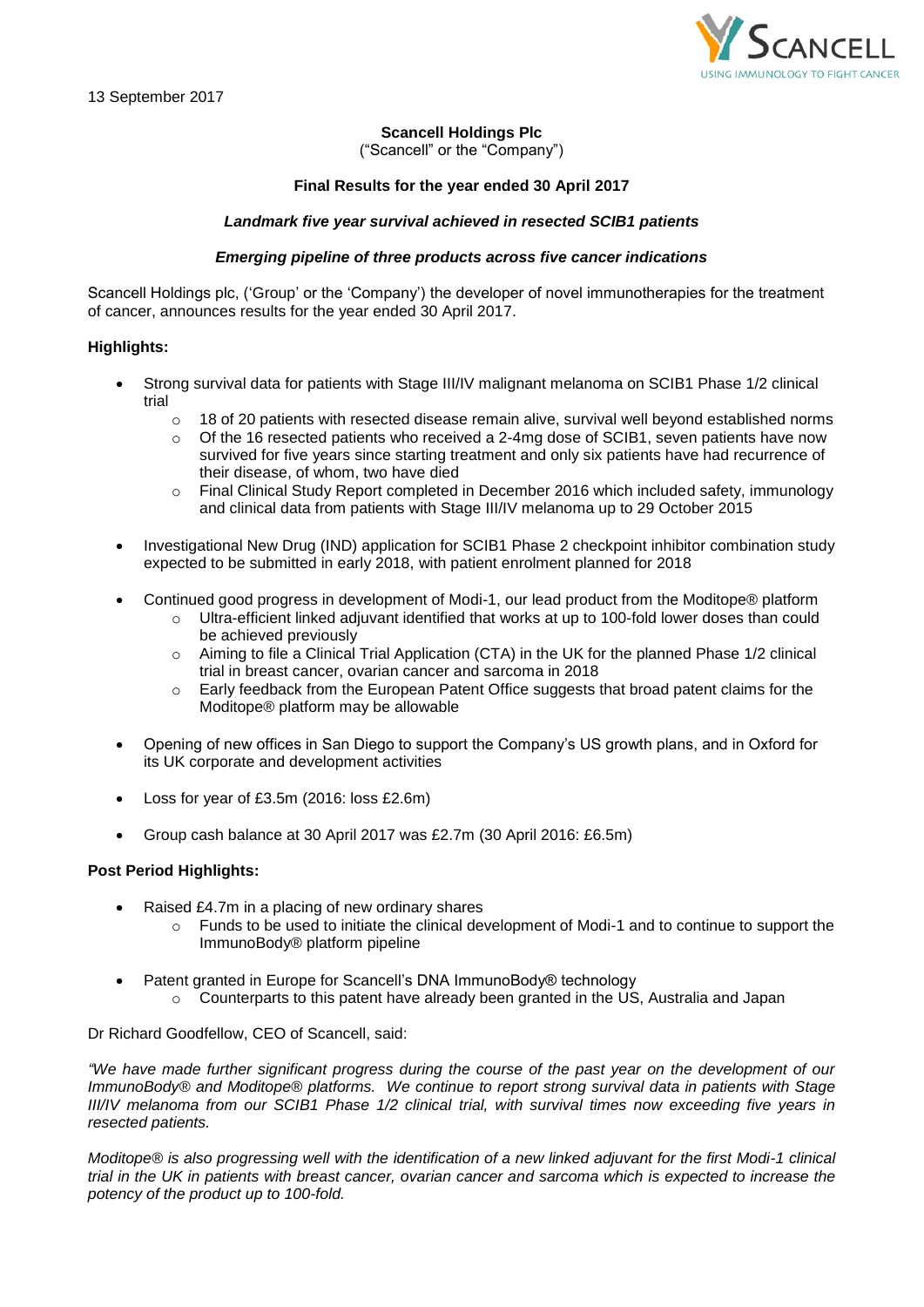

# **Scancell Holdings Plc**

("Scancell" or the "Company")

# **Final Results for the year ended 30 April 2017**

## *Landmark five year survival achieved in resected SCIB1 patients*

# *Emerging pipeline of three products across five cancer indications*

Scancell Holdings plc, ('Group' or the 'Company') the developer of novel immunotherapies for the treatment of cancer, announces results for the year ended 30 April 2017.

## **Highlights:**

- Strong survival data for patients with Stage III/IV malignant melanoma on SCIB1 Phase 1/2 clinical trial
	- o 18 of 20 patients with resected disease remain alive, survival well beyond established norms
	- o Of the 16 resected patients who received a 2-4mg dose of SCIB1, seven patients have now survived for five years since starting treatment and only six patients have had recurrence of their disease, of whom, two have died
	- o Final Clinical Study Report completed in December 2016 which included safety, immunology and clinical data from patients with Stage III/IV melanoma up to 29 October 2015
- Investigational New Drug (IND) application for SCIB1 Phase 2 checkpoint inhibitor combination study expected to be submitted in early 2018, with patient enrolment planned for 2018
- Continued good progress in development of Modi-1, our lead product from the Moditope® platform
	- o Ultra-efficient linked adjuvant identified that works at up to 100-fold lower doses than could be achieved previously
	- $\circ$  Aiming to file a Clinical Trial Application (CTA) in the UK for the planned Phase 1/2 clinical trial in breast cancer, ovarian cancer and sarcoma in 2018
	- $\circ$  Early feedback from the European Patent Office suggests that broad patent claims for the Moditope® platform may be allowable
- Opening of new offices in San Diego to support the Company's US growth plans, and in Oxford for its UK corporate and development activities
- Loss for year of £3.5m (2016: loss £2.6m)
- Group cash balance at 30 April 2017 was £2.7m (30 April 2016: £6.5m)

## **Post Period Highlights:**

- Raised £4.7m in a placing of new ordinary shares
	- o Funds to be used to initiate the clinical development of Modi-1 and to continue to support the ImmunoBody® platform pipeline
	- Patent granted in Europe for Scancell's DNA ImmunoBody® technology
		- $\circ$  Counterparts to this patent have already been granted in the US, Australia and Japan

Dr Richard Goodfellow, CEO of Scancell, said:

*"We have made further significant progress during the course of the past year on the development of our ImmunoBody® and Moditope® platforms. We continue to report strong survival data in patients with Stage III/IV melanoma from our SCIB1 Phase 1/2 clinical trial, with survival times now exceeding five years in resected patients.* 

*Moditope® is also progressing well with the identification of a new linked adjuvant for the first Modi-1 clinical trial in the UK in patients with breast cancer, ovarian cancer and sarcoma which is expected to increase the potency of the product up to 100-fold.*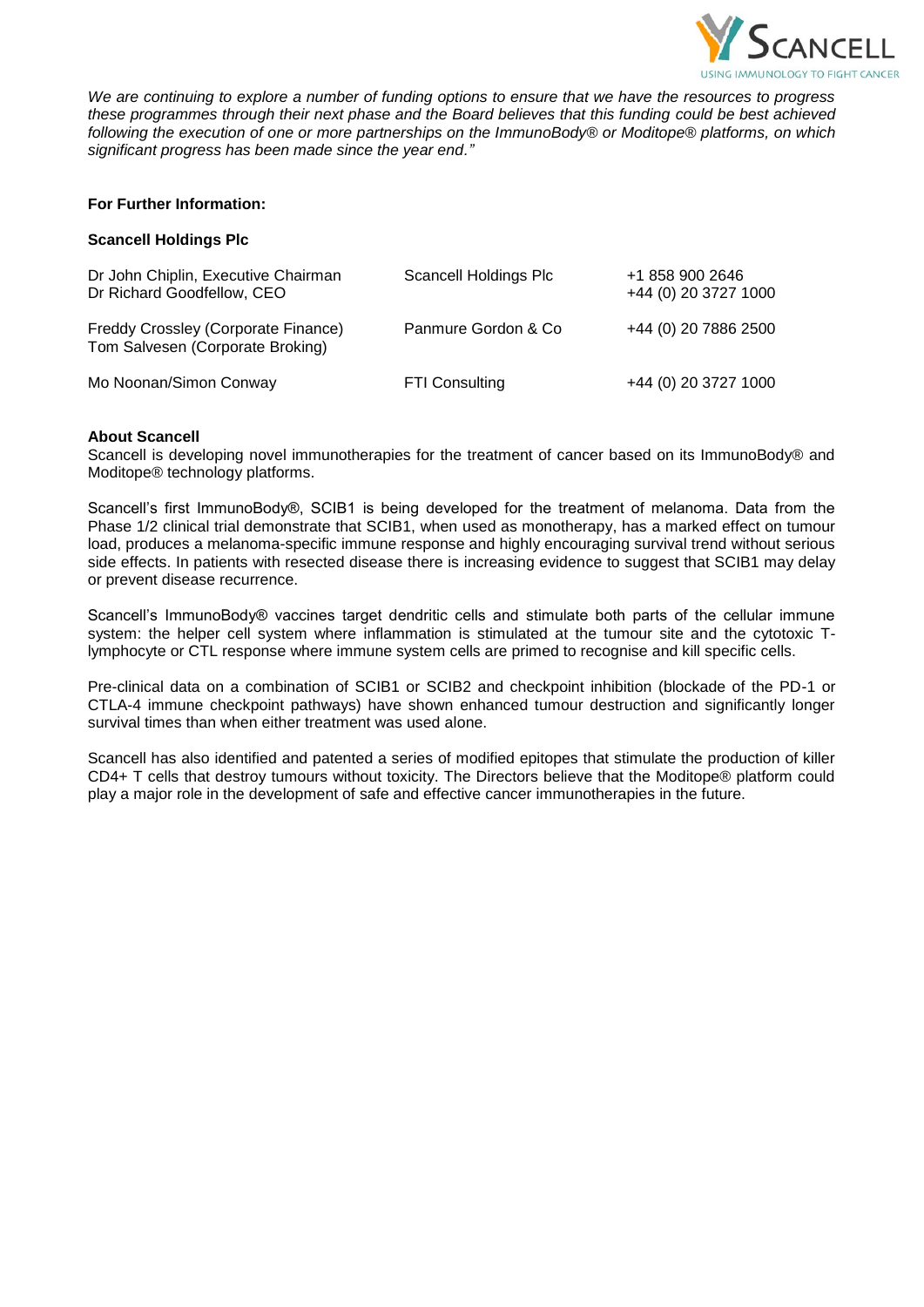

*We are continuing to explore a number of funding options to ensure that we have the resources to progress these programmes through their next phase and the Board believes that this funding could be best achieved following the execution of one or more partnerships on the ImmunoBody® or Moditope® platforms, on which significant progress has been made since the year end."*

# **For Further Information:**

# **Scancell Holdings Plc**

| Dr John Chiplin, Executive Chairman<br>Dr Richard Goodfellow, CEO       | Scancell Holdings Plc | +1 858 900 2646<br>+44 (0) 20 3727 1000 |
|-------------------------------------------------------------------------|-----------------------|-----------------------------------------|
| Freddy Crossley (Corporate Finance)<br>Tom Salvesen (Corporate Broking) | Panmure Gordon & Co   | +44 (0) 20 7886 2500                    |
| Mo Noonan/Simon Conway                                                  | <b>FTI Consulting</b> | +44 (0) 20 3727 1000                    |

# **About Scancell**

Scancell is developing novel immunotherapies for the treatment of cancer based on its ImmunoBody® and Moditope® technology platforms.

Scancell's first ImmunoBody®, SCIB1 is being developed for the treatment of melanoma. Data from the Phase 1/2 clinical trial demonstrate that SCIB1, when used as monotherapy, has a marked effect on tumour load, produces a melanoma-specific immune response and highly encouraging survival trend without serious side effects. In patients with resected disease there is increasing evidence to suggest that SCIB1 may delay or prevent disease recurrence.

Scancell's ImmunoBody® vaccines target dendritic cells and stimulate both parts of the cellular immune system: the helper cell system where inflammation is stimulated at the tumour site and the cytotoxic Tlymphocyte or CTL response where immune system cells are primed to recognise and kill specific cells.

Pre-clinical data on a combination of SCIB1 or SCIB2 and checkpoint inhibition (blockade of the PD-1 or CTLA-4 immune checkpoint pathways) have shown enhanced tumour destruction and significantly longer survival times than when either treatment was used alone.

Scancell has also identified and patented a series of modified epitopes that stimulate the production of killer CD4+ T cells that destroy tumours without toxicity. The Directors believe that the Moditope® platform could play a major role in the development of safe and effective cancer immunotherapies in the future.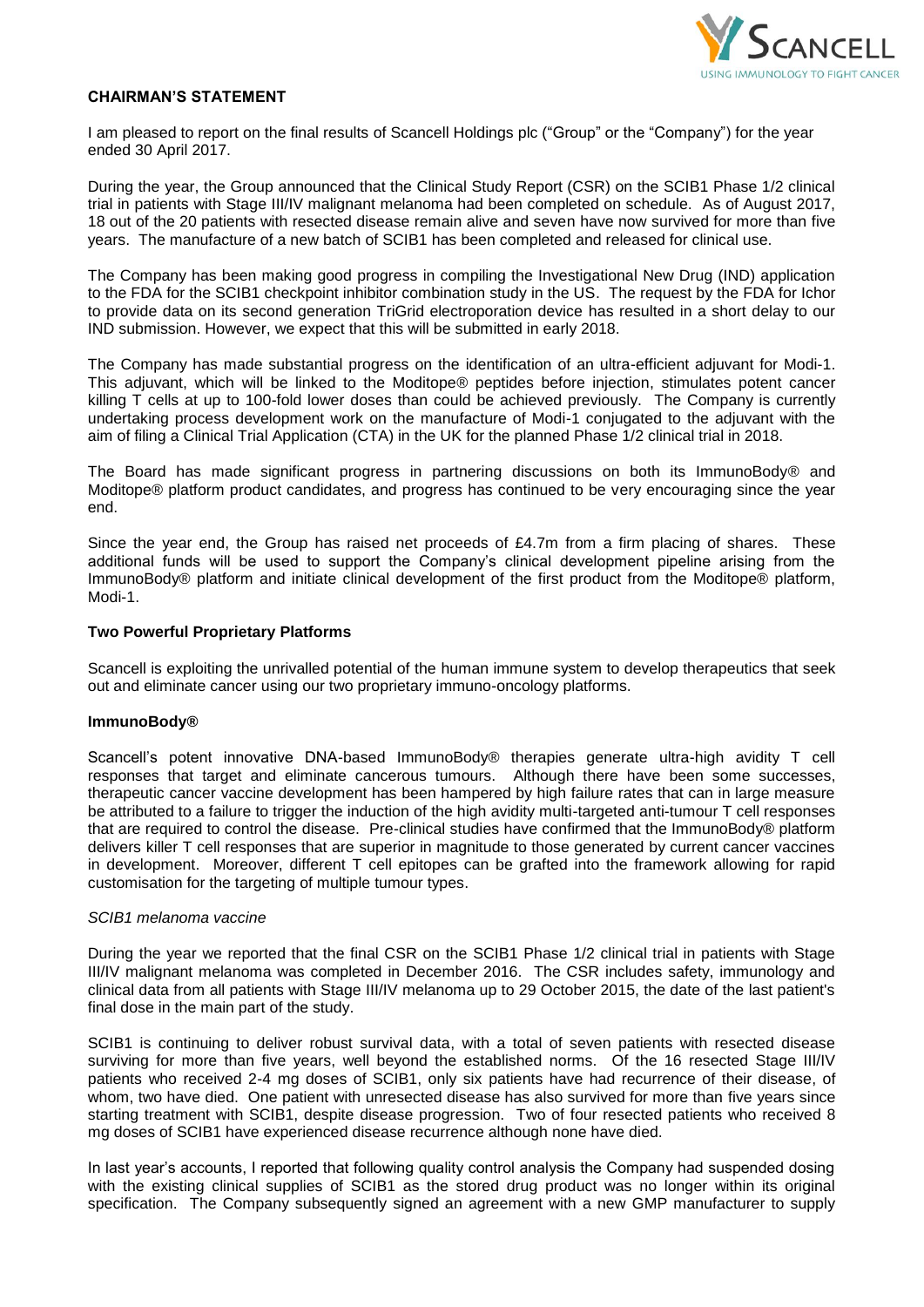

# **CHAIRMAN'S STATEMENT**

I am pleased to report on the final results of Scancell Holdings plc ("Group" or the "Company") for the year ended 30 April 2017.

During the year, the Group announced that the Clinical Study Report (CSR) on the SCIB1 Phase 1/2 clinical trial in patients with Stage III/IV malignant melanoma had been completed on schedule. As of August 2017, 18 out of the 20 patients with resected disease remain alive and seven have now survived for more than five years. The manufacture of a new batch of SCIB1 has been completed and released for clinical use.

The Company has been making good progress in compiling the Investigational New Drug (IND) application to the FDA for the SCIB1 checkpoint inhibitor combination study in the US. The request by the FDA for Ichor to provide data on its second generation TriGrid electroporation device has resulted in a short delay to our IND submission. However, we expect that this will be submitted in early 2018.

The Company has made substantial progress on the identification of an ultra-efficient adjuvant for Modi-1. This adjuvant, which will be linked to the Moditope® peptides before injection, stimulates potent cancer killing T cells at up to 100-fold lower doses than could be achieved previously. The Company is currently undertaking process development work on the manufacture of Modi-1 conjugated to the adjuvant with the aim of filing a Clinical Trial Application (CTA) in the UK for the planned Phase 1/2 clinical trial in 2018.

The Board has made significant progress in partnering discussions on both its ImmunoBody® and Moditope® platform product candidates, and progress has continued to be very encouraging since the year end.

Since the year end, the Group has raised net proceeds of £4.7m from a firm placing of shares. These additional funds will be used to support the Company's clinical development pipeline arising from the ImmunoBody® platform and initiate clinical development of the first product from the Moditope® platform, Modi-1.

## **Two Powerful Proprietary Platforms**

Scancell is exploiting the unrivalled potential of the human immune system to develop therapeutics that seek out and eliminate cancer using our two proprietary immuno-oncology platforms.

## **ImmunoBody®**

Scancell's potent innovative DNA-based ImmunoBody® therapies generate ultra-high avidity T cell responses that target and eliminate cancerous tumours. Although there have been some successes, therapeutic cancer vaccine development has been hampered by high failure rates that can in large measure be attributed to a failure to trigger the induction of the high avidity multi-targeted anti-tumour T cell responses that are required to control the disease. Pre-clinical studies have confirmed that the ImmunoBody® platform delivers killer T cell responses that are superior in magnitude to those generated by current cancer vaccines in development. Moreover, different T cell epitopes can be grafted into the framework allowing for rapid customisation for the targeting of multiple tumour types.

## *SCIB1 melanoma vaccine*

During the year we reported that the final CSR on the SCIB1 Phase 1/2 clinical trial in patients with Stage III/IV malignant melanoma was completed in December 2016. The CSR includes safety, immunology and clinical data from all patients with Stage III/IV melanoma up to 29 October 2015, the date of the last patient's final dose in the main part of the study.

SCIB1 is continuing to deliver robust survival data, with a total of seven patients with resected disease surviving for more than five years, well beyond the established norms. Of the 16 resected Stage III/IV patients who received 2-4 mg doses of SCIB1, only six patients have had recurrence of their disease, of whom, two have died. One patient with unresected disease has also survived for more than five years since starting treatment with SCIB1, despite disease progression. Two of four resected patients who received 8 mg doses of SCIB1 have experienced disease recurrence although none have died.

In last year's accounts, I reported that following quality control analysis the Company had suspended dosing with the existing clinical supplies of SCIB1 as the stored drug product was no longer within its original specification. The Company subsequently signed an agreement with a new GMP manufacturer to supply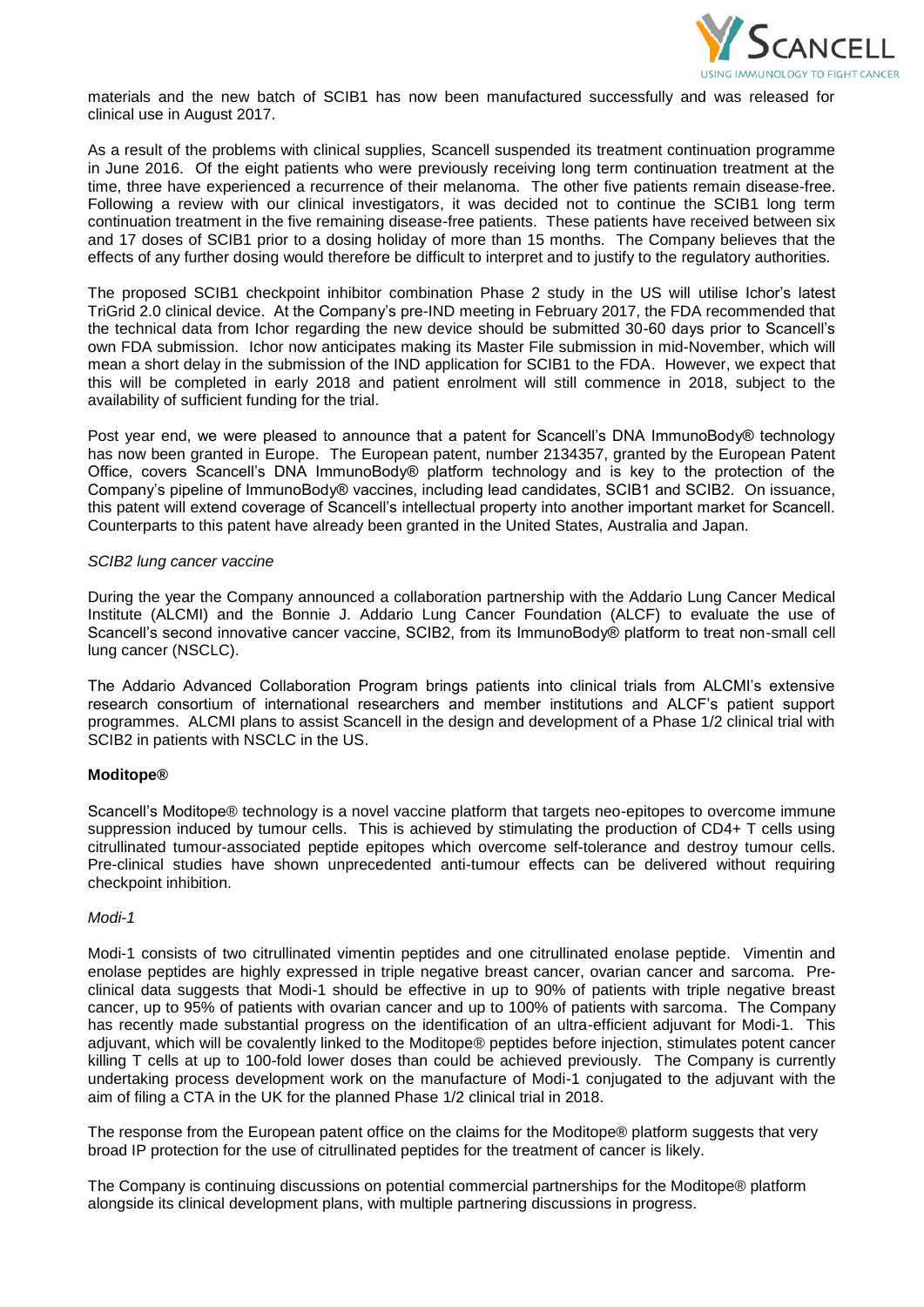

materials and the new batch of SCIB1 has now been manufactured successfully and was released for clinical use in August 2017.

As a result of the problems with clinical supplies, Scancell suspended its treatment continuation programme in June 2016. Of the eight patients who were previously receiving long term continuation treatment at the time, three have experienced a recurrence of their melanoma. The other five patients remain disease-free. Following a review with our clinical investigators, it was decided not to continue the SCIB1 long term continuation treatment in the five remaining disease-free patients. These patients have received between six and 17 doses of SCIB1 prior to a dosing holiday of more than 15 months. The Company believes that the effects of any further dosing would therefore be difficult to interpret and to justify to the regulatory authorities.

The proposed SCIB1 checkpoint inhibitor combination Phase 2 study in the US will utilise Ichor's latest TriGrid 2.0 clinical device. At the Company's pre-IND meeting in February 2017, the FDA recommended that the technical data from Ichor regarding the new device should be submitted 30-60 days prior to Scancell's own FDA submission. Ichor now anticipates making its Master File submission in mid-November, which will mean a short delay in the submission of the IND application for SCIB1 to the FDA. However, we expect that this will be completed in early 2018 and patient enrolment will still commence in 2018, subject to the availability of sufficient funding for the trial.

Post year end, we were pleased to announce that a patent for Scancell's DNA ImmunoBody® technology has now been granted in Europe. The European patent, number 2134357, granted by the European Patent Office, covers Scancell's DNA ImmunoBody® platform technology and is key to the protection of the Company's pipeline of ImmunoBody® vaccines, including lead candidates, SCIB1 and SCIB2. On issuance, this patent will extend coverage of Scancell's intellectual property into another important market for Scancell. Counterparts to this patent have already been granted in the United States, Australia and Japan.

#### *SCIB2 lung cancer vaccine*

During the year the Company announced a collaboration partnership with the Addario Lung Cancer Medical Institute (ALCMI) and the Bonnie J. Addario Lung Cancer Foundation (ALCF) to evaluate the use of Scancell's second innovative cancer vaccine, SCIB2, from its ImmunoBody® platform to treat non-small cell lung cancer (NSCLC).

The Addario Advanced Collaboration Program brings patients into clinical trials from ALCMI's extensive research consortium of international researchers and member institutions and ALCF's patient support programmes. ALCMI plans to assist Scancell in the design and development of a Phase 1/2 clinical trial with SCIB2 in patients with NSCLC in the US.

## **Moditope®**

Scancell's Moditope® technology is a novel vaccine platform that targets neo-epitopes to overcome immune suppression induced by tumour cells. This is achieved by stimulating the production of CD4+ T cells using citrullinated tumour-associated peptide epitopes which overcome self-tolerance and destroy tumour cells. Pre-clinical studies have shown unprecedented anti-tumour effects can be delivered without requiring checkpoint inhibition.

#### *Modi-1*

Modi-1 consists of two citrullinated vimentin peptides and one citrullinated enolase peptide. Vimentin and enolase peptides are highly expressed in triple negative breast cancer, ovarian cancer and sarcoma. Preclinical data suggests that Modi-1 should be effective in up to 90% of patients with triple negative breast cancer, up to 95% of patients with ovarian cancer and up to 100% of patients with sarcoma. The Company has recently made substantial progress on the identification of an ultra-efficient adjuvant for Modi-1. This adjuvant, which will be covalently linked to the Moditope® peptides before injection, stimulates potent cancer killing T cells at up to 100-fold lower doses than could be achieved previously. The Company is currently undertaking process development work on the manufacture of Modi-1 conjugated to the adjuvant with the aim of filing a CTA in the UK for the planned Phase 1/2 clinical trial in 2018.

The response from the European patent office on the claims for the Moditope® platform suggests that very broad IP protection for the use of citrullinated peptides for the treatment of cancer is likely.

The Company is continuing discussions on potential commercial partnerships for the Moditope® platform alongside its clinical development plans, with multiple partnering discussions in progress.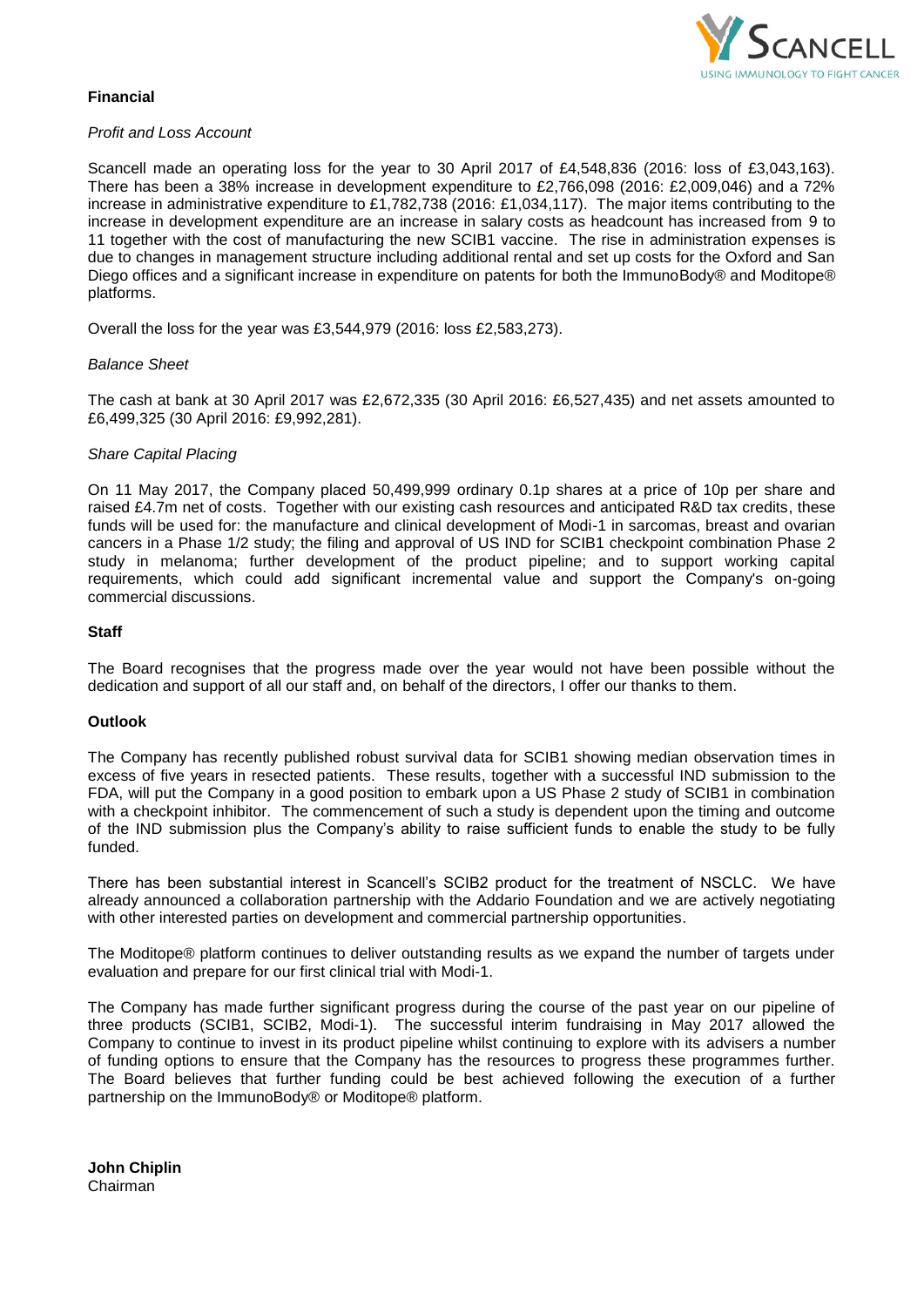

# **Financial**

# *Profit and Loss Account*

Scancell made an operating loss for the year to 30 April 2017 of £4,548,836 (2016: loss of £3,043,163). There has been a 38% increase in development expenditure to £2,766,098 (2016: £2,009,046) and a 72% increase in administrative expenditure to £1,782,738 (2016: £1,034,117). The major items contributing to the increase in development expenditure are an increase in salary costs as headcount has increased from 9 to 11 together with the cost of manufacturing the new SCIB1 vaccine. The rise in administration expenses is due to changes in management structure including additional rental and set up costs for the Oxford and San Diego offices and a significant increase in expenditure on patents for both the ImmunoBody® and Moditope® platforms.

Overall the loss for the year was £3,544,979 (2016: loss £2,583,273).

# *Balance Sheet*

The cash at bank at 30 April 2017 was £2,672,335 (30 April 2016: £6,527,435) and net assets amounted to £6,499,325 (30 April 2016: £9,992,281).

## *Share Capital Placing*

On 11 May 2017, the Company placed 50,499,999 ordinary 0.1p shares at a price of 10p per share and raised £4.7m net of costs. Together with our existing cash resources and anticipated R&D tax credits, these funds will be used for: the manufacture and clinical development of Modi-1 in sarcomas, breast and ovarian cancers in a Phase 1/2 study; the filing and approval of US IND for SCIB1 checkpoint combination Phase 2 study in melanoma; further development of the product pipeline; and to support working capital requirements, which could add significant incremental value and support the Company's on-going commercial discussions.

#### **Staff**

The Board recognises that the progress made over the year would not have been possible without the dedication and support of all our staff and, on behalf of the directors, I offer our thanks to them.

#### **Outlook**

The Company has recently published robust survival data for SCIB1 showing median observation times in excess of five years in resected patients. These results, together with a successful IND submission to the FDA, will put the Company in a good position to embark upon a US Phase 2 study of SCIB1 in combination with a checkpoint inhibitor. The commencement of such a study is dependent upon the timing and outcome of the IND submission plus the Company's ability to raise sufficient funds to enable the study to be fully funded.

There has been substantial interest in Scancell's SCIB2 product for the treatment of NSCLC. We have already announced a collaboration partnership with the Addario Foundation and we are actively negotiating with other interested parties on development and commercial partnership opportunities.

The Moditope® platform continues to deliver outstanding results as we expand the number of targets under evaluation and prepare for our first clinical trial with Modi-1.

The Company has made further significant progress during the course of the past year on our pipeline of three products (SCIB1, SCIB2, Modi-1). The successful interim fundraising in May 2017 allowed the Company to continue to invest in its product pipeline whilst continuing to explore with its advisers a number of funding options to ensure that the Company has the resources to progress these programmes further. The Board believes that further funding could be best achieved following the execution of a further partnership on the ImmunoBody® or Moditope® platform.

**John Chiplin** Chairman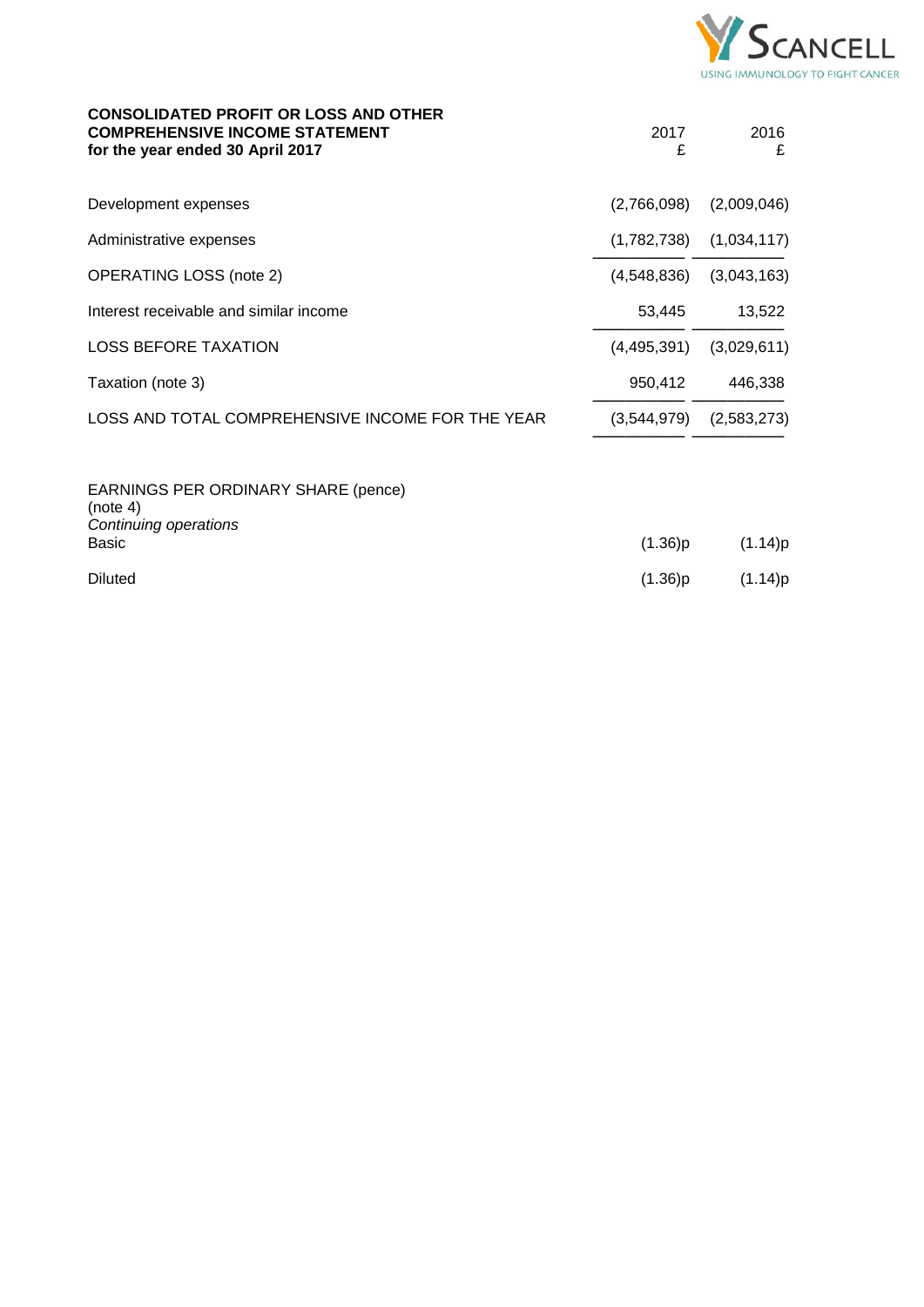

| <b>CONSOLIDATED PROFIT OR LOSS AND OTHER</b><br><b>COMPREHENSIVE INCOME STATEMENT</b><br>for the year ended 30 April 2017 | 2017<br>£   | 2016<br>£   |
|---------------------------------------------------------------------------------------------------------------------------|-------------|-------------|
| Development expenses                                                                                                      | (2,766,098) | (2,009,046) |
| Administrative expenses                                                                                                   | (1,782,738) | (1,034,117) |
| <b>OPERATING LOSS (note 2)</b>                                                                                            | (4,548,836) | (3,043,163) |
| Interest receivable and similar income                                                                                    | 53,445      | 13,522      |
| <b>LOSS BEFORE TAXATION</b>                                                                                               | (4,495,391) | (3,029,611) |
| Taxation (note 3)                                                                                                         | 950,412     | 446,338     |
| LOSS AND TOTAL COMPREHENSIVE INCOME FOR THE YEAR                                                                          | (3,544,979) | (2,583,273) |
| EARNINGS PER ORDINARY SHARE (pence)<br>(note 4)<br>Continuing operations                                                  |             |             |
| Basic                                                                                                                     | (1.36)p     | (1.14)p     |
| <b>Diluted</b>                                                                                                            | (1.36)p     | (1.14)p     |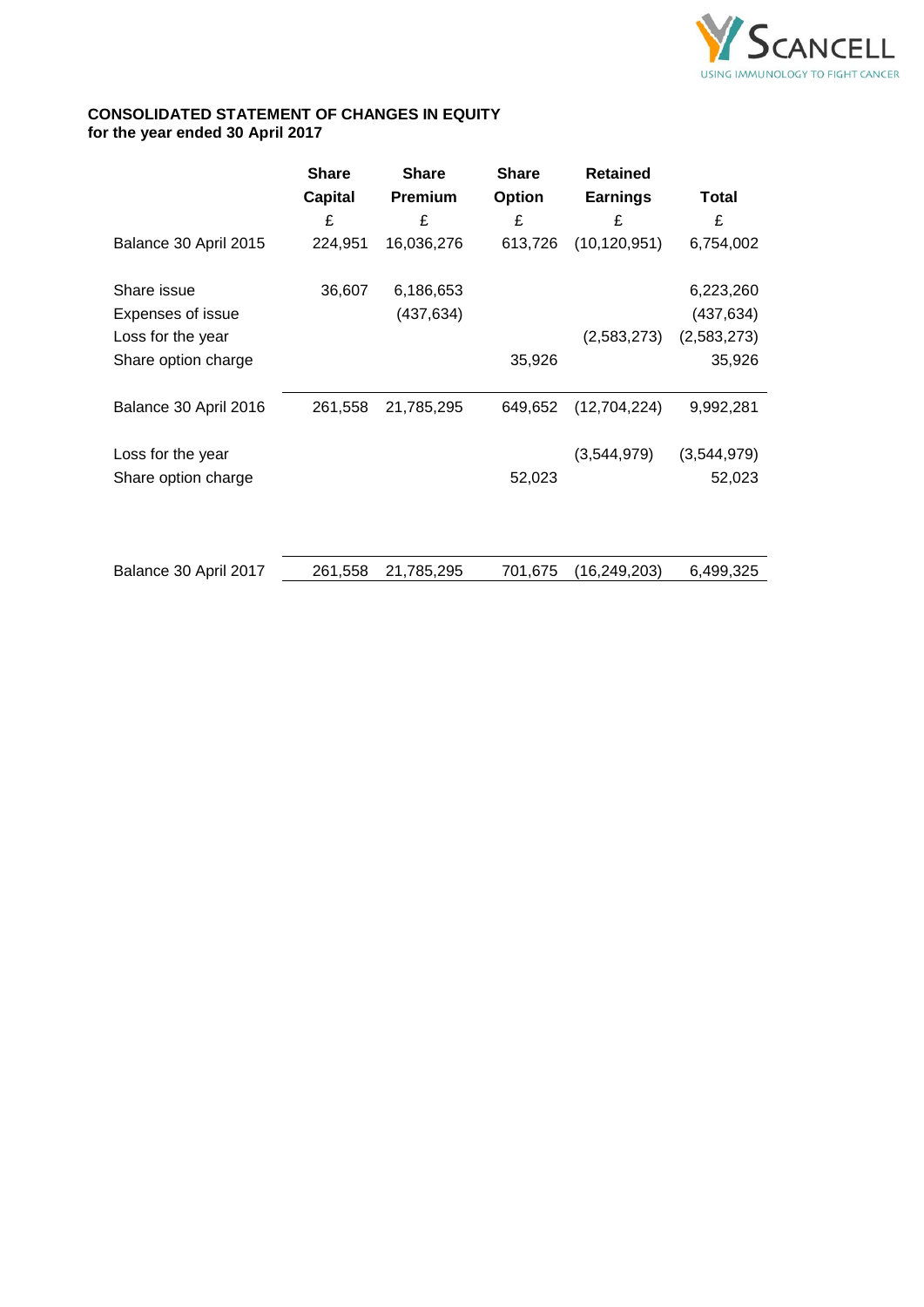

# **CONSOLIDATED STATEMENT OF CHANGES IN EQUITY for the year ended 30 April 2017**

|                          | <b>Share</b>   | <b>Share</b>   | <b>Share</b>  | <b>Retained</b> |             |
|--------------------------|----------------|----------------|---------------|-----------------|-------------|
|                          | <b>Capital</b> | <b>Premium</b> | <b>Option</b> | <b>Earnings</b> | Total       |
|                          | £              | £              | £             | £               | £           |
| Balance 30 April 2015    | 224,951        | 16,036,276     | 613,726       | (10, 120, 951)  | 6,754,002   |
| Share issue              | 36,607         | 6,186,653      |               |                 | 6,223,260   |
| <b>Expenses of issue</b> |                | (437,634)      |               |                 | (437,634)   |
| Loss for the year        |                |                |               | (2,583,273)     | (2,583,273) |
| Share option charge      |                |                | 35,926        |                 | 35,926      |
|                          |                |                |               |                 |             |
| Balance 30 April 2016    | 261,558        | 21,785,295     | 649,652       | (12,704,224)    | 9,992,281   |
| Loss for the year        |                |                |               | (3,544,979)     | (3,544,979) |
| Share option charge      |                |                | 52,023        |                 | 52,023      |
|                          |                |                |               |                 |             |
|                          |                |                |               |                 |             |
| Balance 30 April 2017    | 261,558        | 21,785,295     | 701,675       | (16,249,203)    | 6,499,325   |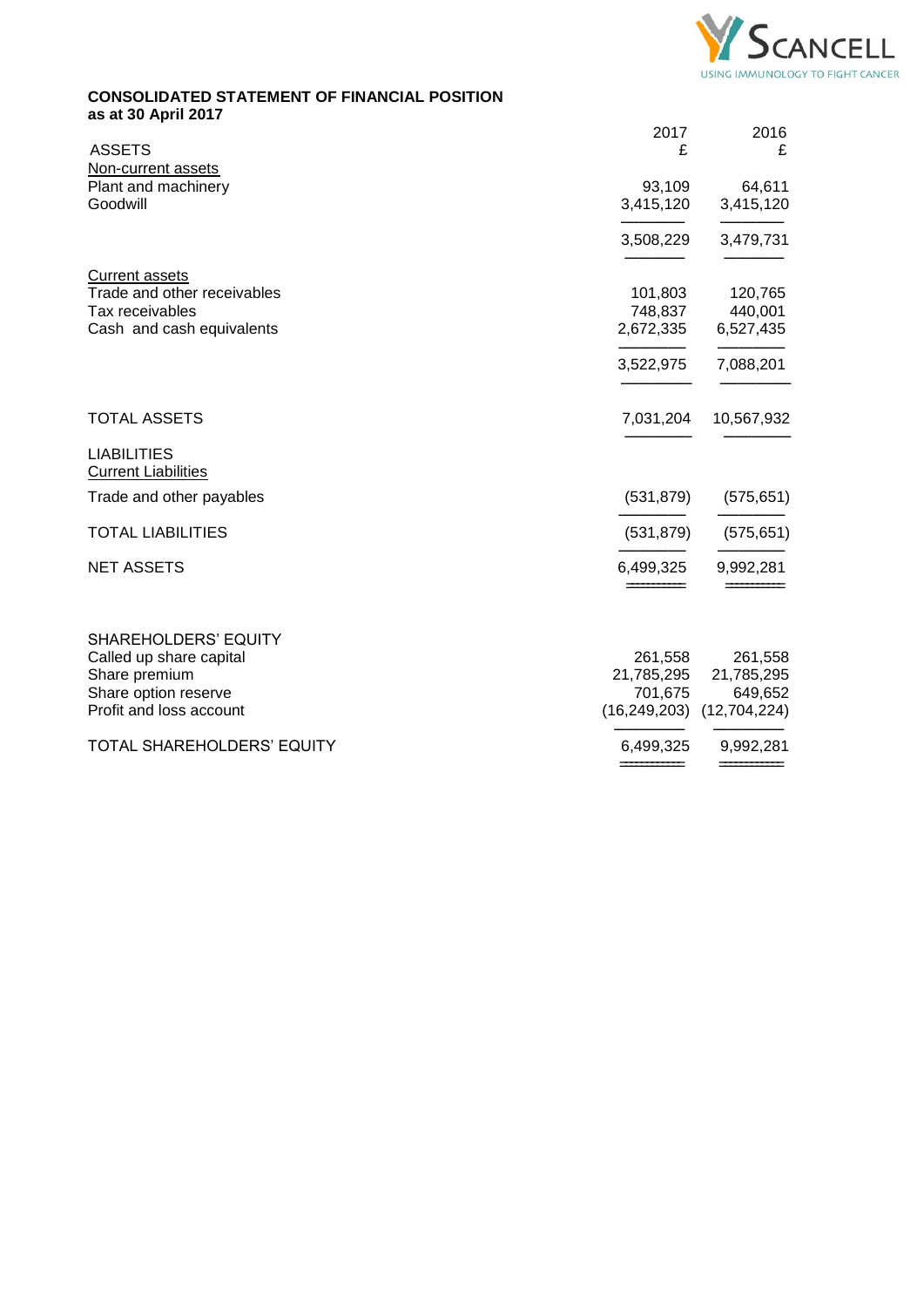

# **CONSOLIDATED STATEMENT OF FINANCIAL POSITION as at 30 April 2017**

| <b>ASSETS</b>                                    | 2017<br>£  | 2016<br>£                     |
|--------------------------------------------------|------------|-------------------------------|
| Non-current assets                               |            |                               |
| Plant and machinery                              | 93,109     | 64,611                        |
| Goodwill                                         | 3,415,120  | 3,415,120                     |
|                                                  | 3,508,229  | 3,479,731                     |
| <b>Current assets</b>                            |            |                               |
| Trade and other receivables                      | 101,803    | 120,765                       |
| Tax receivables                                  | 748,837    | 440,001                       |
| Cash and cash equivalents                        | 2,672,335  | 6,527,435                     |
|                                                  | 3,522,975  | 7,088,201                     |
| <b>TOTAL ASSETS</b>                              | 7,031,204  | 10,567,932                    |
| <b>LIABILITIES</b><br><b>Current Liabilities</b> |            |                               |
| Trade and other payables                         | (531, 879) | (575, 651)                    |
| <b>TOTAL LIABILITIES</b>                         | (531, 879) | (575, 651)                    |
| <b>NET ASSETS</b>                                | 6,499,325  | 9,992,281                     |
|                                                  |            |                               |
| <b>SHAREHOLDERS' EQUITY</b>                      |            |                               |
| Called up share capital                          | 261,558    | 261,558                       |
| Share premium                                    | 21,785,295 | 21,785,295                    |
| Share option reserve                             | 701,675    | 649,652                       |
| Profit and loss account                          |            | $(16,249,203)$ $(12,704,224)$ |
| TOTAL SHAREHOLDERS' EQUITY                       | 6,499,325  | 9,992,281                     |
|                                                  |            |                               |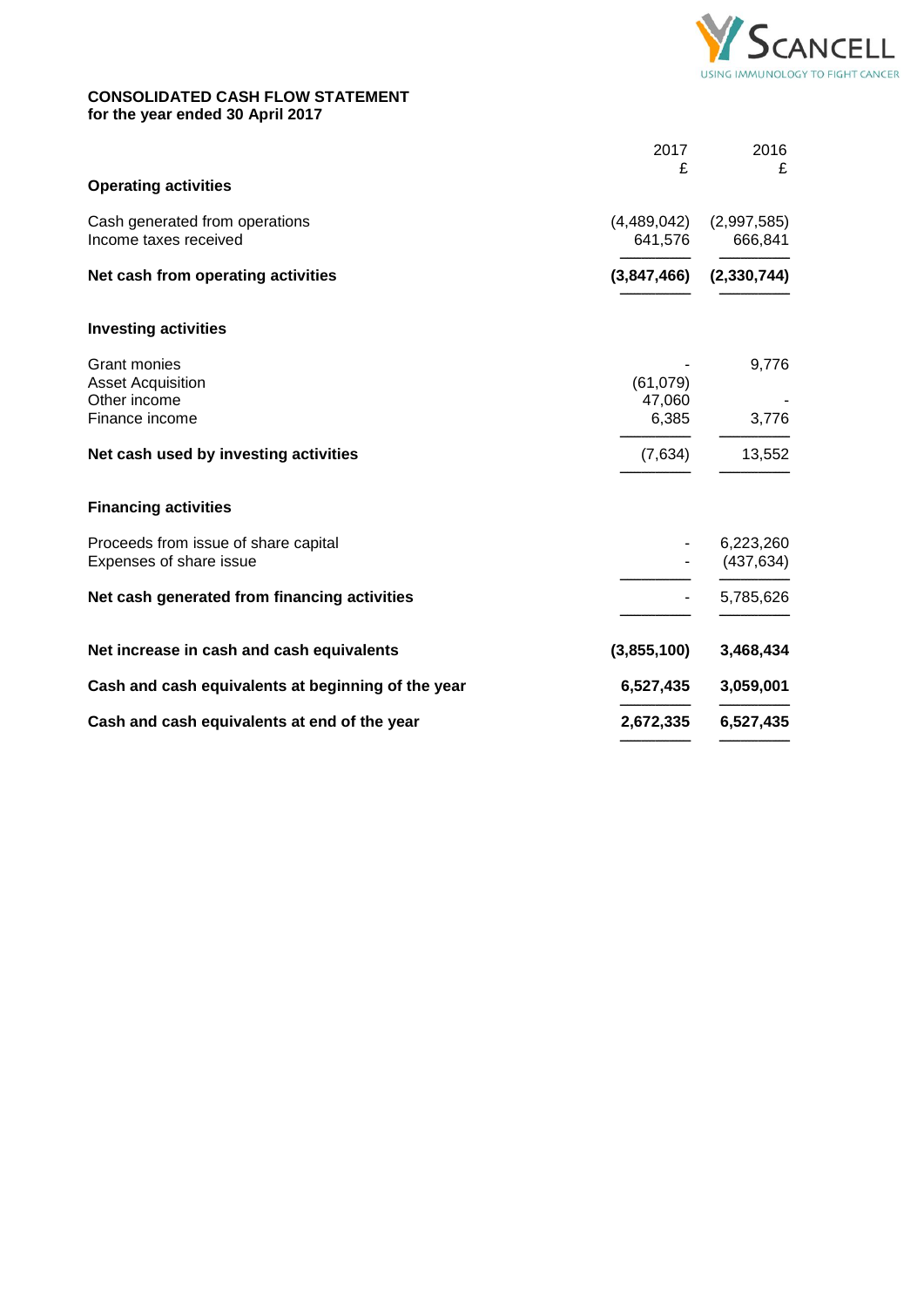

# **CONSOLIDATED CASH FLOW STATEMENT for the year ended 30 April 2017**

| 2017 | 2016<br>£                                                                                                                     |
|------|-------------------------------------------------------------------------------------------------------------------------------|
|      |                                                                                                                               |
|      | (2,997,585)<br>666,841                                                                                                        |
|      | (2, 330, 744)                                                                                                                 |
|      |                                                                                                                               |
|      | 9,776                                                                                                                         |
|      | 3,776                                                                                                                         |
|      | 13,552                                                                                                                        |
|      |                                                                                                                               |
|      | 6,223,260<br>(437, 634)                                                                                                       |
|      | 5,785,626                                                                                                                     |
|      | 3,468,434                                                                                                                     |
|      | 3,059,001                                                                                                                     |
|      | 6,527,435                                                                                                                     |
|      | £<br>(4,489,042)<br>641,576<br>(3,847,466)<br>(61,079)<br>47,060<br>6,385<br>(7,634)<br>(3,855,100)<br>6,527,435<br>2,672,335 |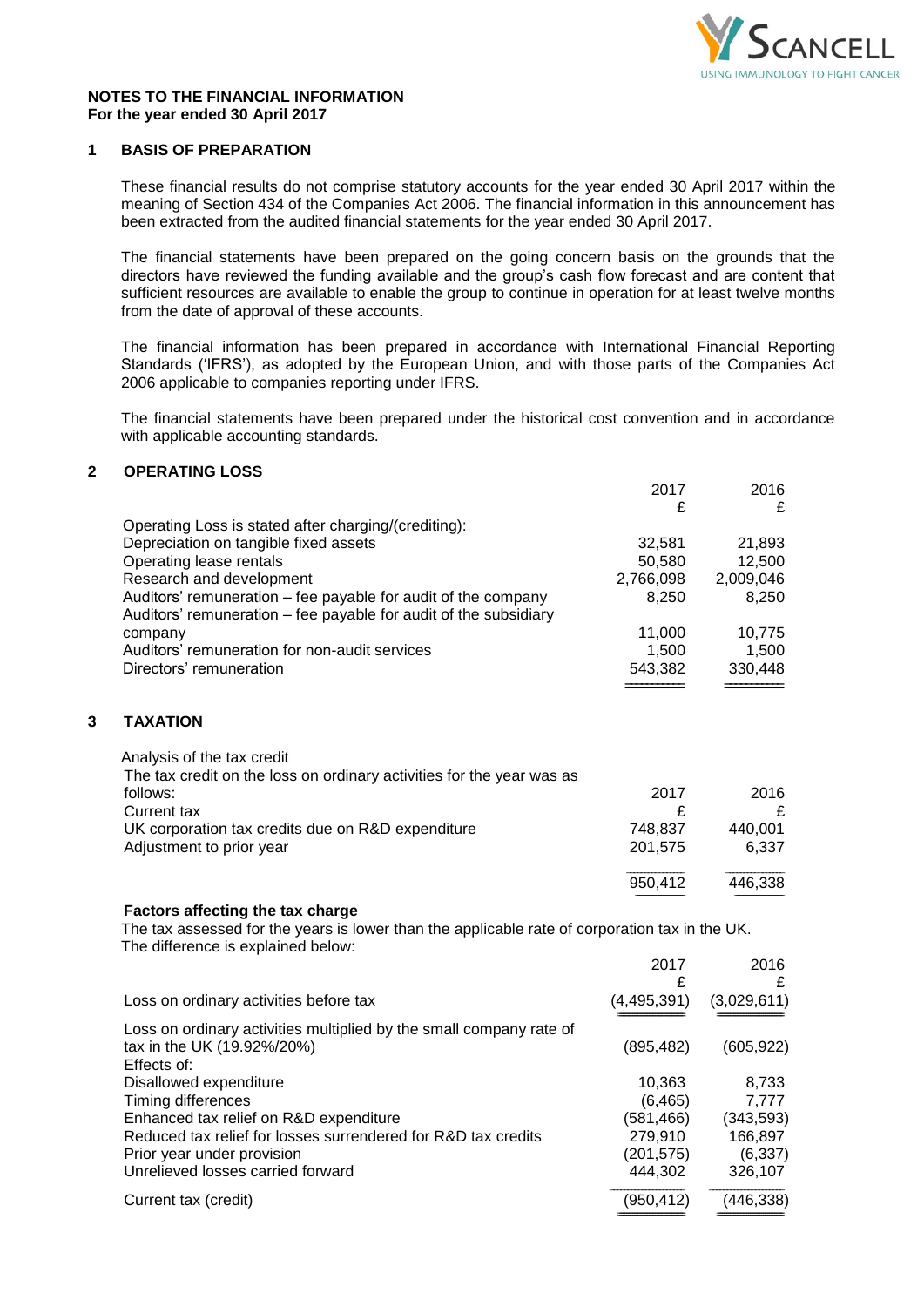

2017 2016

#### **NOTES TO THE FINANCIAL INFORMATION For the year ended 30 April 2017**

# **1 BASIS OF PREPARATION**

These financial results do not comprise statutory accounts for the year ended 30 April 2017 within the meaning of Section 434 of the Companies Act 2006. The financial information in this announcement has been extracted from the audited financial statements for the year ended 30 April 2017.

The financial statements have been prepared on the going concern basis on the grounds that the directors have reviewed the funding available and the group's cash flow forecast and are content that sufficient resources are available to enable the group to continue in operation for at least twelve months from the date of approval of these accounts.

The financial information has been prepared in accordance with International Financial Reporting Standards ('IFRS'), as adopted by the European Union, and with those parts of the Companies Act 2006 applicable to companies reporting under IFRS.

The financial statements have been prepared under the historical cost convention and in accordance with applicable accounting standards.

# **2 OPERATING LOSS**

|   |                                                                                                                                      | £                | £                |
|---|--------------------------------------------------------------------------------------------------------------------------------------|------------------|------------------|
|   | Operating Loss is stated after charging/(crediting):                                                                                 |                  |                  |
|   | Depreciation on tangible fixed assets<br>Operating lease rentals                                                                     | 32,581<br>50,580 | 21,893<br>12,500 |
|   | Research and development                                                                                                             | 2,766,098        | 2,009,046        |
|   | Auditors' remuneration – fee payable for audit of the company                                                                        | 8,250            | 8,250            |
|   | Auditors' remuneration - fee payable for audit of the subsidiary                                                                     |                  |                  |
|   | company                                                                                                                              | 11,000           | 10,775           |
|   | Auditors' remuneration for non-audit services                                                                                        | 1,500            | 1,500            |
|   | Directors' remuneration                                                                                                              | 543,382          | 330,448          |
|   |                                                                                                                                      |                  |                  |
| 3 | <b>TAXATION</b>                                                                                                                      |                  |                  |
|   | Analysis of the tax credit                                                                                                           |                  |                  |
|   | The tax credit on the loss on ordinary activities for the year was as                                                                |                  |                  |
|   | follows:                                                                                                                             | 2017             | 2016             |
|   | Current tax                                                                                                                          | £                | £                |
|   | UK corporation tax credits due on R&D expenditure                                                                                    | 748,837          | 440,001          |
|   | Adjustment to prior year                                                                                                             | 201,575          | 6,337            |
|   |                                                                                                                                      | 950,412          | 446,338          |
|   |                                                                                                                                      |                  |                  |
|   | Factors affecting the tax charge                                                                                                     |                  |                  |
|   | The tax assessed for the years is lower than the applicable rate of corporation tax in the UK.<br>The difference is explained below: |                  |                  |
|   |                                                                                                                                      | 2017             | 2016             |
|   |                                                                                                                                      | £                | £                |
|   | Loss on ordinary activities before tax                                                                                               | (4, 495, 391)    | (3,029,611)      |
|   | Loss on ordinary activities multiplied by the small company rate of                                                                  |                  |                  |
|   | tax in the UK (19.92%/20%)                                                                                                           | (895, 482)       | (605, 922)       |
|   | Effects of:                                                                                                                          |                  |                  |
|   | Disallowed expenditure                                                                                                               | 10,363           | 8,733            |
|   | Timing differences                                                                                                                   | (6, 465)         | 7,777            |
|   | Enhanced tax relief on R&D expenditure                                                                                               | (581, 466)       | (343, 593)       |
|   | Reduced tax relief for losses surrendered for R&D tax credits                                                                        | 279,910          | 166,897          |
|   | Prior year under provision                                                                                                           | (201, 575)       | (6, 337)         |
|   | Unrelieved losses carried forward                                                                                                    | 444,302          | 326,107          |
|   | Current tax (credit)                                                                                                                 | (950, 412)       | (446, 338)       |
|   |                                                                                                                                      |                  |                  |